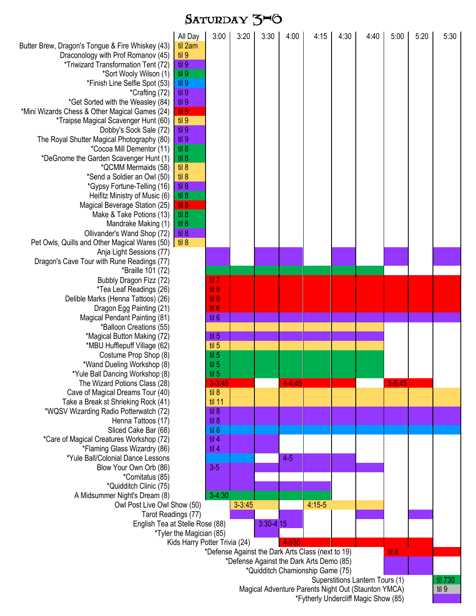